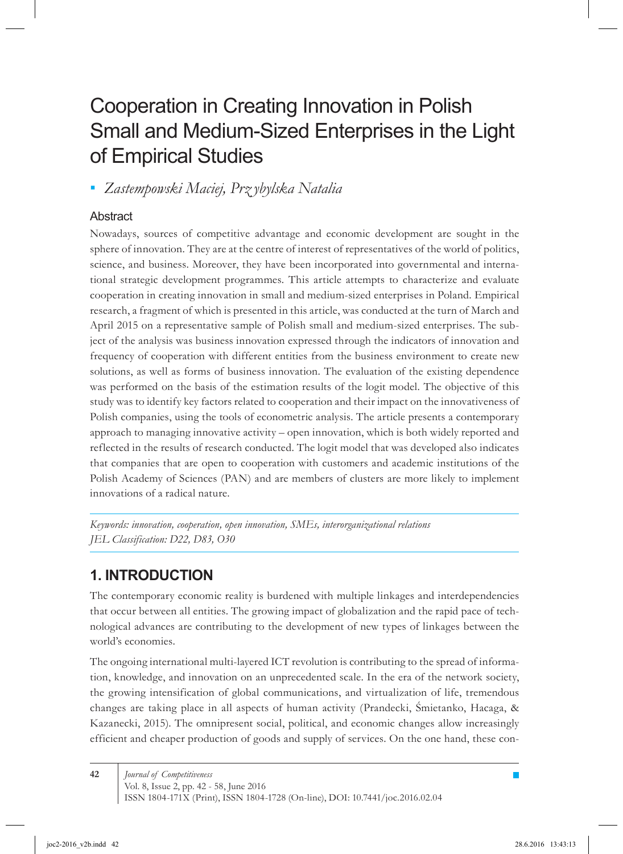# Cooperation in Creating Innovation in Polish Small and Medium-Sized Enterprises in the Light of Empirical Studies

*Zastempowski Maciej, Prz ybylska Natalia ▪*

### **Abstract**

Nowadays, sources of competitive advantage and economic development are sought in the sphere of innovation. They are at the centre of interest of representatives of the world of politics, science, and business. Moreover, they have been incorporated into governmental and international strategic development programmes. This article attempts to characterize and evaluate cooperation in creating innovation in small and medium-sized enterprises in Poland. Empirical research, a fragment of which is presented in this article, was conducted at the turn of March and April 2015 on a representative sample of Polish small and medium-sized enterprises. The subject of the analysis was business innovation expressed through the indicators of innovation and frequency of cooperation with different entities from the business environment to create new solutions, as well as forms of business innovation. The evaluation of the existing dependence was performed on the basis of the estimation results of the logit model. The objective of this study was to identify key factors related to cooperation and their impact on the innovativeness of Polish companies, using the tools of econometric analysis. The article presents a contemporary approach to managing innovative activity – open innovation, which is both widely reported and reflected in the results of research conducted. The logit model that was developed also indicates that companies that are open to cooperation with customers and academic institutions of the Polish Academy of Sciences (PAN) and are members of clusters are more likely to implement innovations of a radical nature.

*Keywords: innovation, cooperation, open innovation, SMEs, interorganizational relations JEL Classification: D22, D83, O30*

# **1. INTRODUCTION**

The contemporary economic reality is burdened with multiple linkages and interdependencies that occur between all entities. The growing impact of globalization and the rapid pace of technological advances are contributing to the development of new types of linkages between the world's economies.

The ongoing international multi-layered ICT revolution is contributing to the spread of information, knowledge, and innovation on an unprecedented scale. In the era of the network society, the growing intensification of global communications, and virtualization of life, tremendous changes are taking place in all aspects of human activity (Prandecki, Śmietanko, Hacaga, & Kazanecki, 2015). The omnipresent social, political, and economic changes allow increasingly efficient and cheaper production of goods and supply of services. On the one hand, these con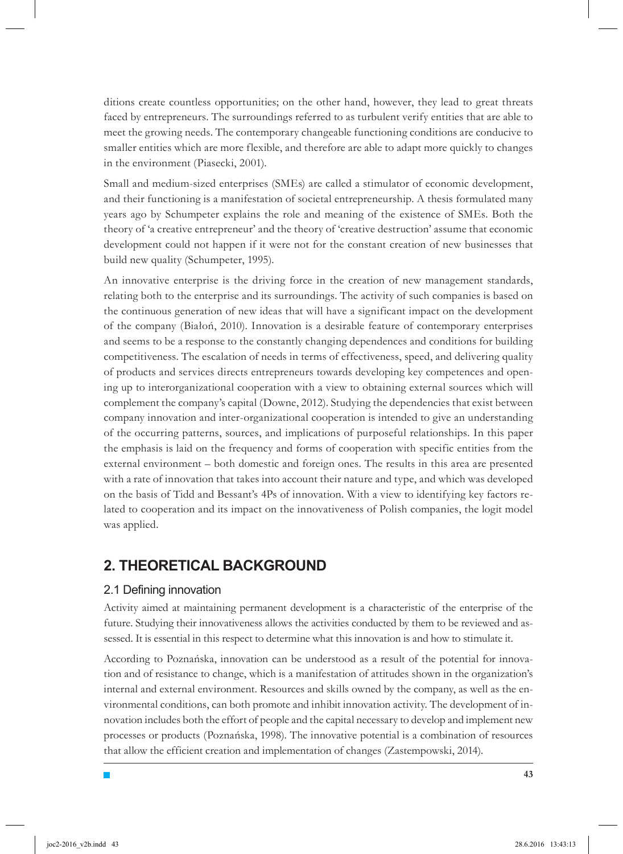ditions create countless opportunities; on the other hand, however, they lead to great threats faced by entrepreneurs. The surroundings referred to as turbulent verify entities that are able to meet the growing needs. The contemporary changeable functioning conditions are conducive to smaller entities which are more flexible, and therefore are able to adapt more quickly to changes in the environment (Piasecki, 2001).

Small and medium-sized enterprises (SMEs) are called a stimulator of economic development, and their functioning is a manifestation of societal entrepreneurship. A thesis formulated many years ago by Schumpeter explains the role and meaning of the existence of SMEs. Both the theory of 'a creative entrepreneur' and the theory of 'creative destruction' assume that economic development could not happen if it were not for the constant creation of new businesses that build new quality (Schumpeter, 1995).

An innovative enterprise is the driving force in the creation of new management standards, relating both to the enterprise and its surroundings. The activity of such companies is based on the continuous generation of new ideas that will have a significant impact on the development of the company (Białoń, 2010). Innovation is a desirable feature of contemporary enterprises and seems to be a response to the constantly changing dependences and conditions for building competitiveness. The escalation of needs in terms of effectiveness, speed, and delivering quality of products and services directs entrepreneurs towards developing key competences and opening up to interorganizational cooperation with a view to obtaining external sources which will complement the company's capital (Downe, 2012). Studying the dependencies that exist between company innovation and inter-organizational cooperation is intended to give an understanding of the occurring patterns, sources, and implications of purposeful relationships. In this paper the emphasis is laid on the frequency and forms of cooperation with specific entities from the external environment – both domestic and foreign ones. The results in this area are presented with a rate of innovation that takes into account their nature and type, and which was developed on the basis of Tidd and Bessant's 4Ps of innovation. With a view to identifying key factors related to cooperation and its impact on the innovativeness of Polish companies, the logit model was applied.

## **2. THEORETICAL BACKGROUND**

#### 2.1 Defining innovation

 $\blacksquare$ 

Activity aimed at maintaining permanent development is a characteristic of the enterprise of the future. Studying their innovativeness allows the activities conducted by them to be reviewed and assessed. It is essential in this respect to determine what this innovation is and how to stimulate it.

According to Poznańska, innovation can be understood as a result of the potential for innovation and of resistance to change, which is a manifestation of attitudes shown in the organization's internal and external environment. Resources and skills owned by the company, as well as the environmental conditions, can both promote and inhibit innovation activity. The development of innovation includes both the effort of people and the capital necessary to develop and implement new processes or products (Poznańska, 1998). The innovative potential is a combination of resources that allow the efficient creation and implementation of changes (Zastempowski, 2014).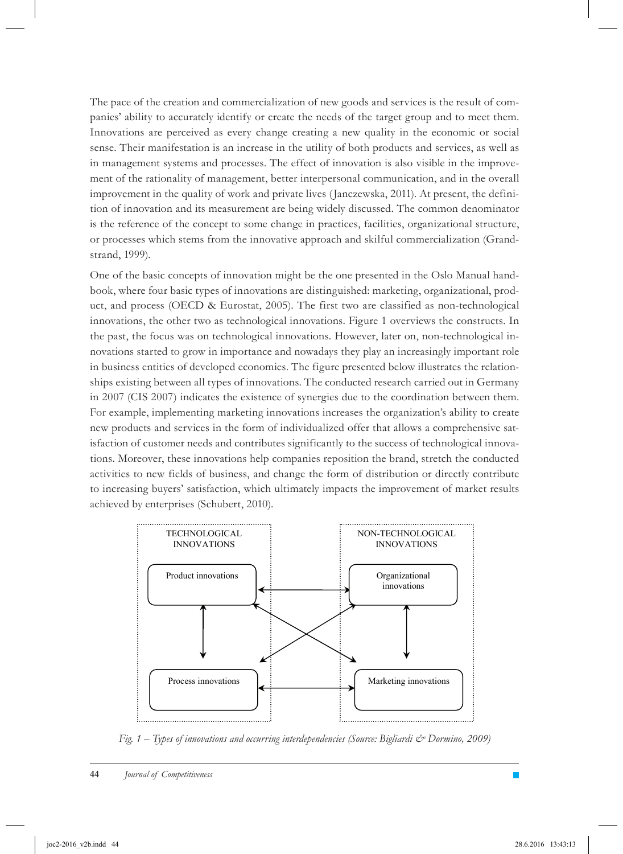The pace of the creation and commercialization of new goods and services is the result of companies' ability to accurately identify or create the needs of the target group and to meet them. Innovations are perceived as every change creating a new quality in the economic or social sense. Their manifestation is an increase in the utility of both products and services, as well as in management systems and processes. The effect of innovation is also visible in the improvement of the rationality of management, better interpersonal communication, and in the overall improvement in the quality of work and private lives (Janczewska, 2011). At present, the definition of innovation and its measurement are being widely discussed. The common denominator is the reference of the concept to some change in practices, facilities, organizational structure, or processes which stems from the innovative approach and skilful commercialization (Grandstrand, 1999).

One of the basic concepts of innovation might be the one presented in the Oslo Manual handbook, where four basic types of innovations are distinguished: marketing, organizational, product, and process (OECD & Eurostat, 2005). The first two are classified as non-technological innovations, the other two as technological innovations. Figure 1 overviews the constructs. In the past, the focus was on technological innovations. However, later on, non-technological innovations started to grow in importance and nowadays they play an increasingly important role in business entities of developed economies. The figure presented below illustrates the relationships existing between all types of innovations. The conducted research carried out in Germany in 2007 (CIS 2007) indicates the existence of synergies due to the coordination between them. For example, implementing marketing innovations increases the organization's ability to create new products and services in the form of individualized offer that allows a comprehensive satisfaction of customer needs and contributes significantly to the success of technological innovations. Moreover, these innovations help companies reposition the brand, stretch the conducted activities to new fields of business, and change the form of distribution or directly contribute to increasing buyers' satisfaction, which ultimately impacts the improvement of market results achieved by enterprises (Schubert, 2010).



*Fig. 1 – Types of innovations and occurring interdependencies (Source: Bigliardi & Dormino, 2009)*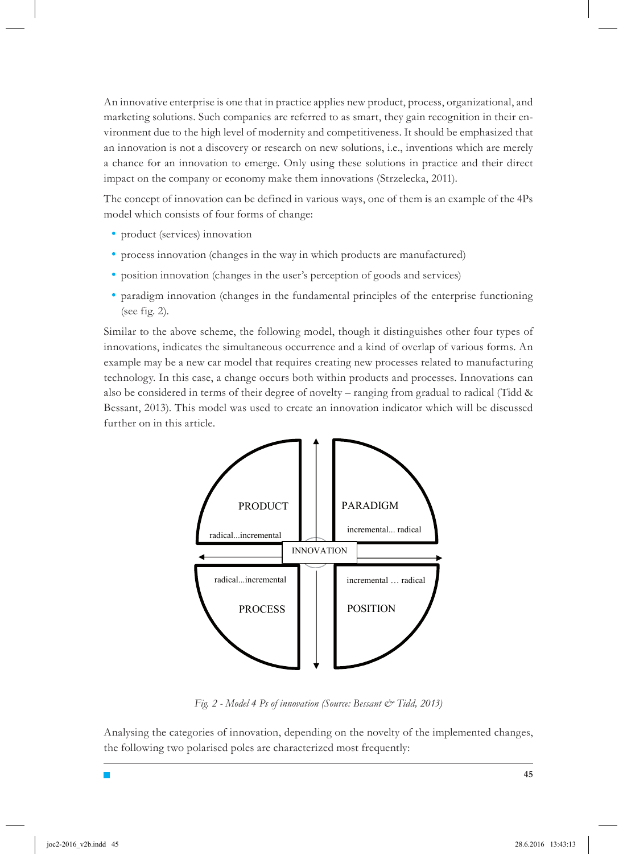An innovative enterprise is one that in practice applies new product, process, organizational, and marketing solutions. Such companies are referred to as smart, they gain recognition in their environment due to the high level of modernity and competitiveness. It should be emphasized that an innovation is not a discovery or research on new solutions, i.e., inventions which are merely a chance for an innovation to emerge. Only using these solutions in practice and their direct impact on the company or economy make them innovations (Strzelecka, 2011).

The concept of innovation can be defined in various ways, one of them is an example of the 4Ps model which consists of four forms of change:

- product (services) innovation
- process innovation (changes in the way in which products are manufactured)
- position innovation (changes in the user's perception of goods and services)
- paradigm innovation (changes in the fundamental principles of the enterprise functioning (see fig. 2).

Similar to the above scheme, the following model, though it distinguishes other four types of innovations, indicates the simultaneous occurrence and a kind of overlap of various forms. An example may be a new car model that requires creating new processes related to manufacturing technology. In this case, a change occurs both within products and processes. Innovations can also be considered in terms of their degree of novelty – ranging from gradual to radical (Tidd & Bessant, 2013). This model was used to create an innovation indicator which will be discussed further on in this article.



*Fig. 2 - Model 4 Ps of innovation (Source: Bessant & Tidd, 2013)*

Analysing the categories of innovation, depending on the novelty of the implemented changes, the following two polarised poles are characterized most frequently: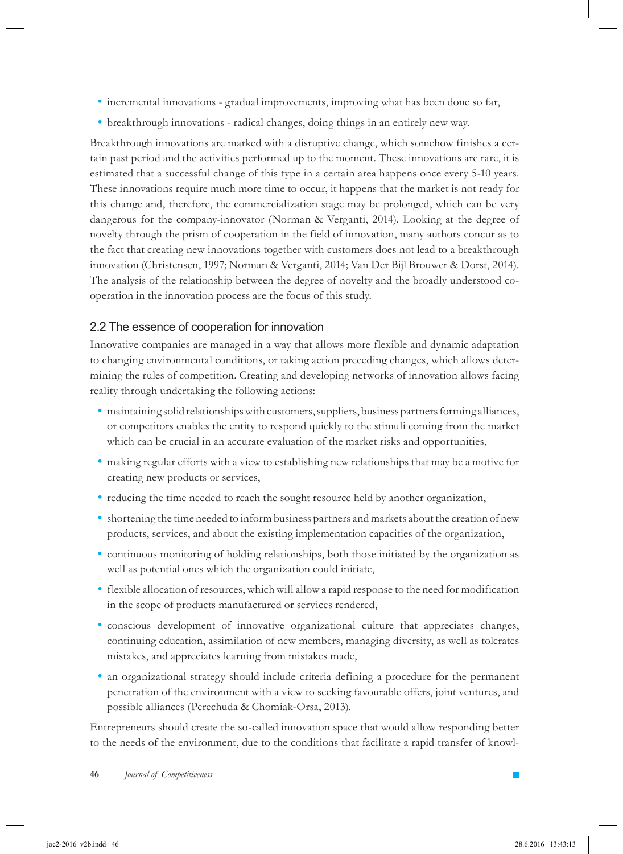- incremental innovations gradual improvements, improving what has been done so far,
- breakthrough innovations radical changes, doing things in an entirely new way.

Breakthrough innovations are marked with a disruptive change, which somehow finishes a certain past period and the activities performed up to the moment. These innovations are rare, it is estimated that a successful change of this type in a certain area happens once every 5-10 years. These innovations require much more time to occur, it happens that the market is not ready for this change and, therefore, the commercialization stage may be prolonged, which can be very dangerous for the company-innovator (Norman & Verganti, 2014). Looking at the degree of novelty through the prism of cooperation in the field of innovation, many authors concur as to the fact that creating new innovations together with customers does not lead to a breakthrough innovation (Christensen, 1997; Norman & Verganti, 2014; Van Der Bijl Brouwer & Dorst, 2014). The analysis of the relationship between the degree of novelty and the broadly understood cooperation in the innovation process are the focus of this study.

### 2.2 The essence of cooperation for innovation

Innovative companies are managed in a way that allows more flexible and dynamic adaptation to changing environmental conditions, or taking action preceding changes, which allows determining the rules of competition. Creating and developing networks of innovation allows facing reality through undertaking the following actions:

- maintaining solid relationships with customers, suppliers, business partners forming alliances, or competitors enables the entity to respond quickly to the stimuli coming from the market which can be crucial in an accurate evaluation of the market risks and opportunities,
- making regular efforts with a view to establishing new relationships that may be a motive for creating new products or services,
- reducing the time needed to reach the sought resource held by another organization,
- shortening the time needed to inform business partners and markets about the creation of new products, services, and about the existing implementation capacities of the organization,
- continuous monitoring of holding relationships, both those initiated by the organization as well as potential ones which the organization could initiate,
- flexible allocation of resources, which will allow a rapid response to the need for modification in the scope of products manufactured or services rendered,
- conscious development of innovative organizational culture that appreciates changes, continuing education, assimilation of new members, managing diversity, as well as tolerates mistakes, and appreciates learning from mistakes made,
- an organizational strategy should include criteria defining a procedure for the permanent penetration of the environment with a view to seeking favourable offers, joint ventures, and possible alliances (Perechuda & Chomiak-Orsa, 2013).

Entrepreneurs should create the so-called innovation space that would allow responding better to the needs of the environment, due to the conditions that facilitate a rapid transfer of knowl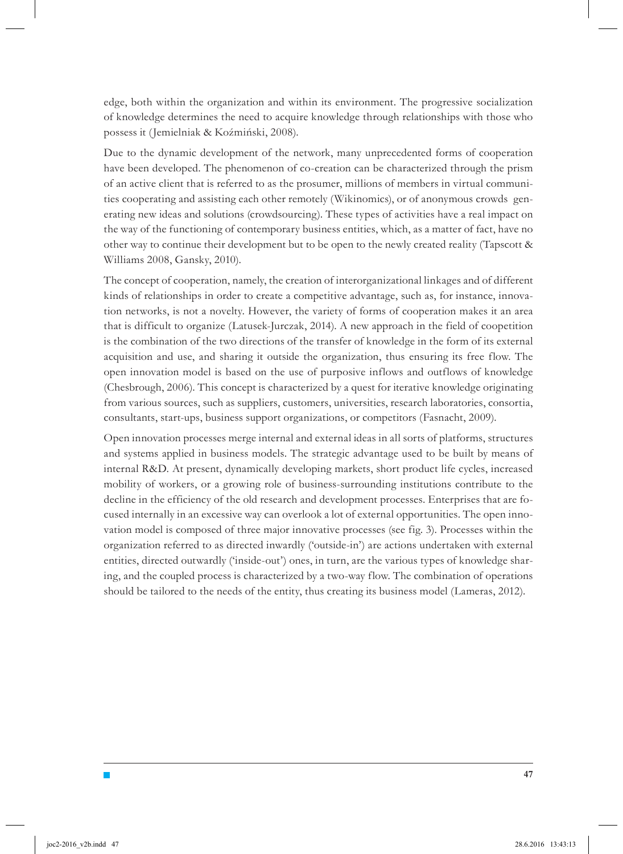edge, both within the organization and within its environment. The progressive socialization of knowledge determines the need to acquire knowledge through relationships with those who possess it (Jemielniak & Koźmiński, 2008).

Due to the dynamic development of the network, many unprecedented forms of cooperation have been developed. The phenomenon of co-creation can be characterized through the prism of an active client that is referred to as the prosumer, millions of members in virtual communities cooperating and assisting each other remotely (Wikinomics), or of anonymous crowds generating new ideas and solutions (crowdsourcing). These types of activities have a real impact on the way of the functioning of contemporary business entities, which, as a matter of fact, have no other way to continue their development but to be open to the newly created reality (Tapscott & Williams 2008, Gansky, 2010).

The concept of cooperation, namely, the creation of interorganizational linkages and of different kinds of relationships in order to create a competitive advantage, such as, for instance, innovation networks, is not a novelty. However, the variety of forms of cooperation makes it an area that is difficult to organize (Latusek-Jurczak, 2014). A new approach in the field of coopetition is the combination of the two directions of the transfer of knowledge in the form of its external acquisition and use, and sharing it outside the organization, thus ensuring its free flow. The open innovation model is based on the use of purposive inflows and outflows of knowledge (Chesbrough, 2006). This concept is characterized by a quest for iterative knowledge originating from various sources, such as suppliers, customers, universities, research laboratories, consortia, consultants, start-ups, business support organizations, or competitors (Fasnacht, 2009).

Open innovation processes merge internal and external ideas in all sorts of platforms, structures and systems applied in business models. The strategic advantage used to be built by means of internal R&D. At present, dynamically developing markets, short product life cycles, increased mobility of workers, or a growing role of business-surrounding institutions contribute to the decline in the efficiency of the old research and development processes. Enterprises that are focused internally in an excessive way can overlook a lot of external opportunities. The open innovation model is composed of three major innovative processes (see fig. 3). Processes within the organization referred to as directed inwardly ('outside-in') are actions undertaken with external entities, directed outwardly ('inside-out') ones, in turn, are the various types of knowledge sharing, and the coupled process is characterized by a two-way flow. The combination of operations should be tailored to the needs of the entity, thus creating its business model (Lameras, 2012).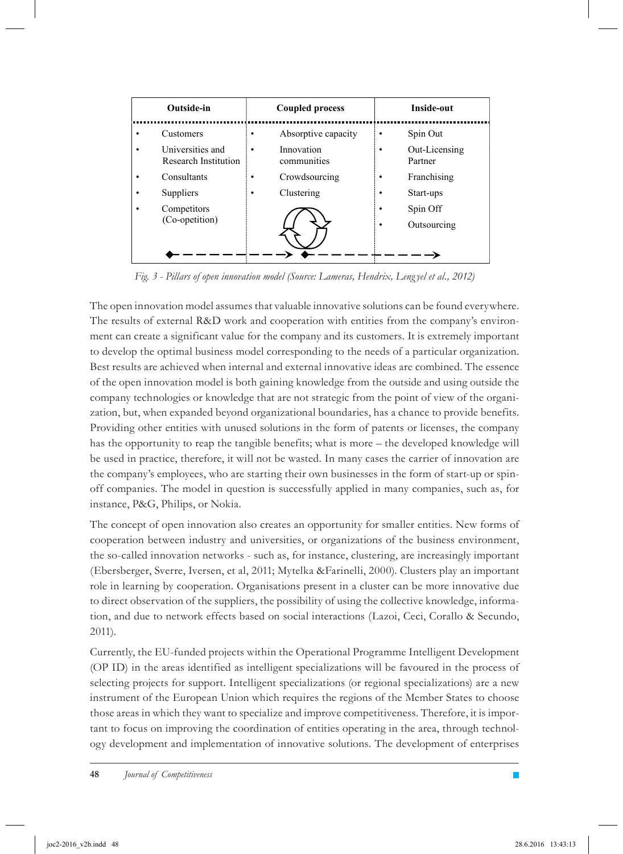| Outside-in                                                                                                         |                  | <b>Coupled process</b>                                                          |             | Inside-out                                                                                  |
|--------------------------------------------------------------------------------------------------------------------|------------------|---------------------------------------------------------------------------------|-------------|---------------------------------------------------------------------------------------------|
| Customers<br>Universities and<br>Research Institution<br>Consultants<br>Suppliers<br>Competitors<br>(Co-opetition) | ٠<br>٠<br>٠<br>٠ | Absorptive capacity<br>Innovation<br>communities<br>Crowdsourcing<br>Clustering | ٠<br>٠<br>٠ | Spin Out<br>Out-Licensing<br>Partner<br>Franchising<br>Start-ups<br>Spin Off<br>Outsourcing |
|                                                                                                                    |                  |                                                                                 |             |                                                                                             |

*Fig. 3 - Pillars of open innovation model (Source: Lameras, Hendrix, Leng yel et al., 2012)*

The open innovation model assumes that valuable innovative solutions can be found everywhere. The results of external R&D work and cooperation with entities from the company's environment can create a significant value for the company and its customers. It is extremely important to develop the optimal business model corresponding to the needs of a particular organization. Best results are achieved when internal and external innovative ideas are combined. The essence of the open innovation model is both gaining knowledge from the outside and using outside the company technologies or knowledge that are not strategic from the point of view of the organization, but, when expanded beyond organizational boundaries, has a chance to provide benefits. Providing other entities with unused solutions in the form of patents or licenses, the company has the opportunity to reap the tangible benefits; what is more – the developed knowledge will be used in practice, therefore, it will not be wasted. In many cases the carrier of innovation are the company's employees, who are starting their own businesses in the form of start-up or spinoff companies. The model in question is successfully applied in many companies, such as, for instance, P&G, Philips, or Nokia.

The concept of open innovation also creates an opportunity for smaller entities. New forms of cooperation between industry and universities, or organizations of the business environment, the so-called innovation networks - such as, for instance, clustering, are increasingly important (Ebersberger, Sverre, Iversen, et al, 2011; Mytelka &Farinelli, 2000). Clusters play an important role in learning by cooperation. Organisations present in a cluster can be more innovative due to direct observation of the suppliers, the possibility of using the collective knowledge, information, and due to network effects based on social interactions (Lazoi, Ceci, Corallo & Secundo, 2011).

Currently, the EU-funded projects within the Operational Programme Intelligent Development (OP ID) in the areas identified as intelligent specializations will be favoured in the process of selecting projects for support. Intelligent specializations (or regional specializations) are a new instrument of the European Union which requires the regions of the Member States to choose those areas in which they want to specialize and improve competitiveness. Therefore, it is important to focus on improving the coordination of entities operating in the area, through technology development and implementation of innovative solutions. The development of enterprises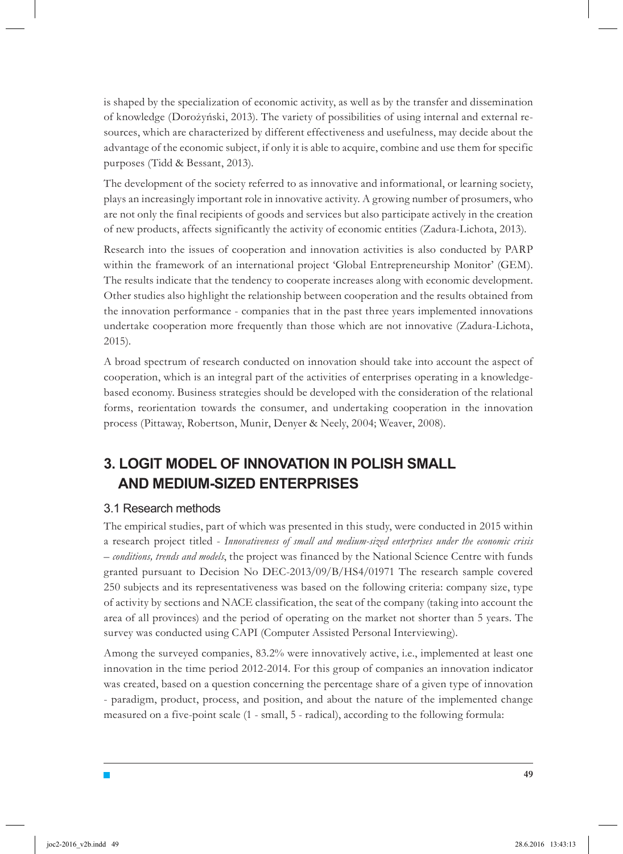is shaped by the specialization of economic activity, as well as by the transfer and dissemination of knowledge (Dorożyński, 2013). The variety of possibilities of using internal and external resources, which are characterized by different effectiveness and usefulness, may decide about the advantage of the economic subject, if only it is able to acquire, combine and use them for specific purposes (Tidd & Bessant, 2013).

The development of the society referred to as innovative and informational, or learning society, plays an increasingly important role in innovative activity. A growing number of prosumers, who are not only the final recipients of goods and services but also participate actively in the creation of new products, affects significantly the activity of economic entities (Zadura-Lichota, 2013).

Research into the issues of cooperation and innovation activities is also conducted by PARP within the framework of an international project 'Global Entrepreneurship Monitor' (GEM). The results indicate that the tendency to cooperate increases along with economic development. Other studies also highlight the relationship between cooperation and the results obtained from the innovation performance - companies that in the past three years implemented innovations undertake cooperation more frequently than those which are not innovative (Zadura-Lichota, 2015).

A broad spectrum of research conducted on innovation should take into account the aspect of cooperation, which is an integral part of the activities of enterprises operating in a knowledgebased economy. Business strategies should be developed with the consideration of the relational forms, reorientation towards the consumer, and undertaking cooperation in the innovation process (Pittaway, Robertson, Munir, Denyer & Neely, 2004; Weaver, 2008).

# **3. LOGIT MODEL OF INNOVATION IN POLISH SMALL AND MEDIUM-SIZED ENTERPRISES**

### 3.1 Research methods

 $\blacksquare$ 

The empirical studies, part of which was presented in this study, were conducted in 2015 within a research project titled - *Innovativeness of small and medium-sized enterprises under the economic crisis – conditions, trends and models*, the project was financed by the National Science Centre with funds granted pursuant to Decision No DEC-2013/09/B/HS4/01971 The research sample covered 250 subjects and its representativeness was based on the following criteria: company size, type of activity by sections and NACE classification, the seat of the company (taking into account the area of all provinces) and the period of operating on the market not shorter than 5 years. The survey was conducted using CAPI (Computer Assisted Personal Interviewing).

Among the surveyed companies, 83.2% were innovatively active, i.e., implemented at least one innovation in the time period 2012-2014. For this group of companies an innovation indicator was created, based on a question concerning the percentage share of a given type of innovation - paradigm, product, process, and position, and about the nature of the implemented change measured on a five-point scale (1 - small, 5 - radical), according to the following formula: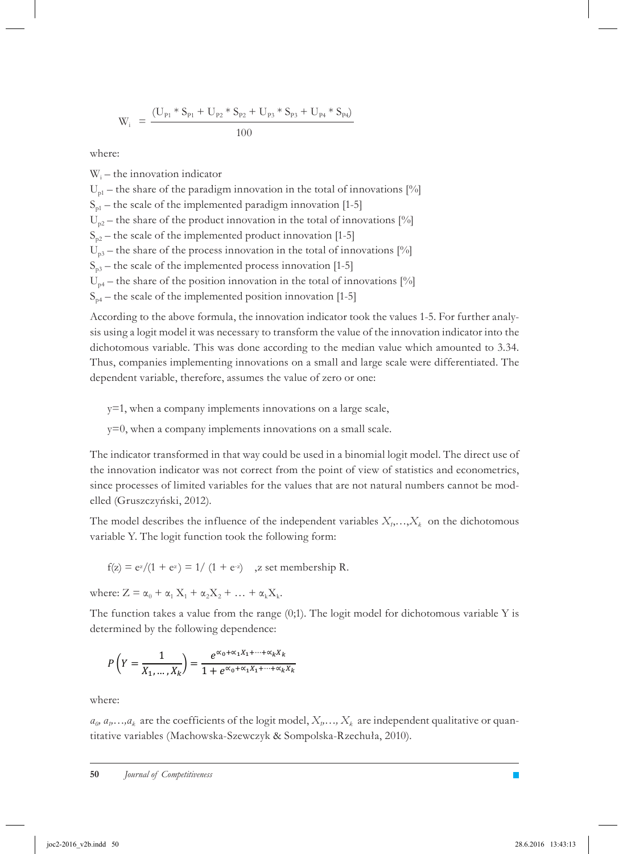$$
W_i = \frac{(U_{p_1} * S_{p_1} + U_{p_2} * S_{p_2} + U_{p_3} * S_{p_3} + U_{p_4} * S_{p_4})}{100}
$$

where:

Wi – the innovation indicator  $U_{\text{pl}}$  – the share of the paradigm innovation in the total of innovations [%]  $S<sub>01</sub>$  – the scale of the implemented paradigm innovation [1-5]  $U_{p2}$  – the share of the product innovation in the total of innovations [%]  $S_{n2}$  – the scale of the implemented product innovation [1-5]  $U_{p3}$  – the share of the process innovation in the total of innovations [%]  $S<sub>p3</sub>$  – the scale of the implemented process innovation [1-5]  $U_{n4}$  – the share of the position innovation in the total of innovations [%]  $S_{p4}$  – the scale of the implemented position innovation [1-5]

According to the above formula, the innovation indicator took the values 1-5. For further analysis using a logit model it was necessary to transform the value of the innovation indicator into the dichotomous variable. This was done according to the median value which amounted to 3.34. Thus, companies implementing innovations on a small and large scale were differentiated. The dependent variable, therefore, assumes the value of zero or one:

y=1, when a company implements innovations on a large scale,

y=0, when a company implements innovations on a small scale.

The indicator transformed in that way could be used in a binomial logit model. The direct use of the innovation indicator was not correct from the point of view of statistics and econometrics, since processes of limited variables for the values that are not natural numbers cannot be modelled (Gruszczyński, 2012).

The model describes the influence of the independent variables  $X_i, \ldots, X_k$  on the dichotomous variable Y. The logit function took the following form:

 $f(z) = e^{z}/(1 + e^{z}) = 1/(1 + e^{z})$  , z set membership R.

where:  $Z = \alpha_0 + \alpha_1 X_1 + \alpha_2 X_2 + \ldots + \alpha_k X_k$ .

The function takes a value from the range  $(0,1)$ . The logit model for dichotomous variable Y is determined by the following dependence:

$$
P\left(Y = \frac{1}{X_1, \dots, X_k}\right) = \frac{e^{\alpha_0 + \alpha_1 X_1 + \dots + \alpha_k X_k}}{1 + e^{\alpha_0 + \alpha_1 X_1 + \dots + \alpha_k X_k}}
$$

where:

 $a_0, a_1, \ldots, a_k$  are the coefficients of the logit model,  $X_1, \ldots, X_k$  are independent qualitative or quantitative variables (Machowska-Szewczyk & Sompolska-Rzechuła, 2010).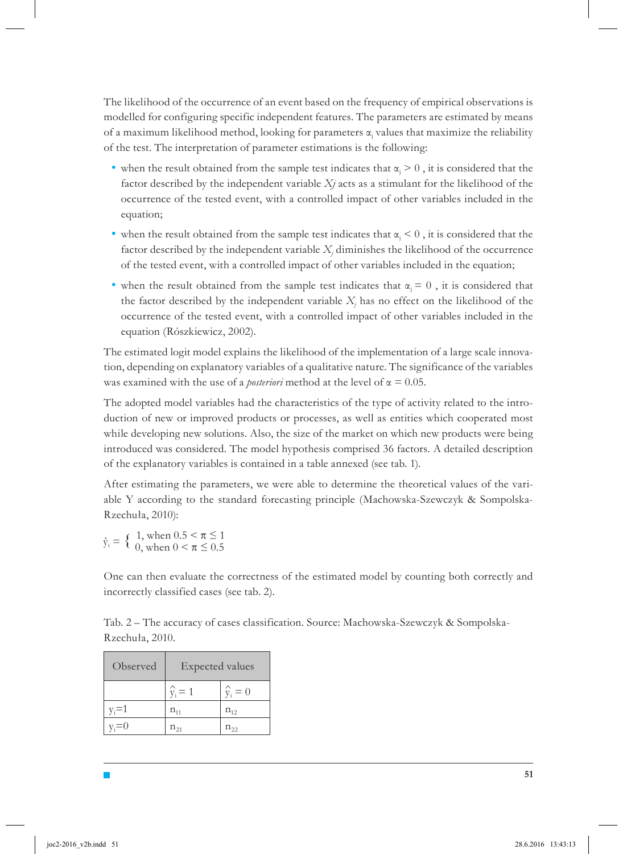The likelihood of the occurrence of an event based on the frequency of empirical observations is modelled for configuring specific independent features. The parameters are estimated by means of a maximum likelihood method, looking for parameters  $\alpha_j$  values that maximize the reliability of the test. The interpretation of parameter estimations is the following:

- when the result obtained from the sample test indicates that  $\alpha_j > 0$ , it is considered that the factor described by the independent variable *Xj* acts as a stimulant for the likelihood of the occurrence of the tested event, with a controlled impact of other variables included in the equation;
- when the result obtained from the sample test indicates that  $\alpha_j < 0$ , it is considered that the factor described by the independent variable  $X_i$  diminishes the likelihood of the occurrence of the tested event, with a controlled impact of other variables included in the equation;
- when the result obtained from the sample test indicates that  $\alpha_j = 0$ , it is considered that the factor described by the independent variable  $X_j$  has no effect on the likelihood of the occurrence of the tested event, with a controlled impact of other variables included in the equation (Rószkiewicz, 2002).

The estimated logit model explains the likelihood of the implementation of a large scale innovation, depending on explanatory variables of a qualitative nature. The significance of the variables was examined with the use of a *posteriori* method at the level of  $\alpha = 0.05$ .

The adopted model variables had the characteristics of the type of activity related to the introduction of new or improved products or processes, as well as entities which cooperated most while developing new solutions. Also, the size of the market on which new products were being introduced was considered. The model hypothesis comprised 36 factors. A detailed description of the explanatory variables is contained in a table annexed (see tab. 1).

After estimating the parameters, we were able to determine the theoretical values of the variable Y according to the standard forecasting principle (Machowska-Szewczyk & Sompolska-Rzechuła, 2010):

 $\hat{y}_i = \begin{cases} 1, \text{ when } 0.5 \leq \pi \leq 1 \\ 0, \text{ when } 0 \leq \pi \leq 0.5 \end{cases}$  $y_i = 0$ , when  $0 < \pi \le 0.5$ 

One can then evaluate the correctness of the estimated model by counting both correctly and incorrectly classified cases (see tab. 2).

Tab. 2 – The accuracy of cases classification. Source: Machowska-Szewczyk & Sompolska-Rzechuła, 2010.

| Observed  | Expected values             |                 |  |
|-----------|-----------------------------|-----------------|--|
|           | $\hat{v}_i = 1$             | $\hat{v}_i = 0$ |  |
| $v_i = 1$ | $n_{\scriptscriptstyle 11}$ | $n_{12}$        |  |
| $v_i = 0$ |                             |                 |  |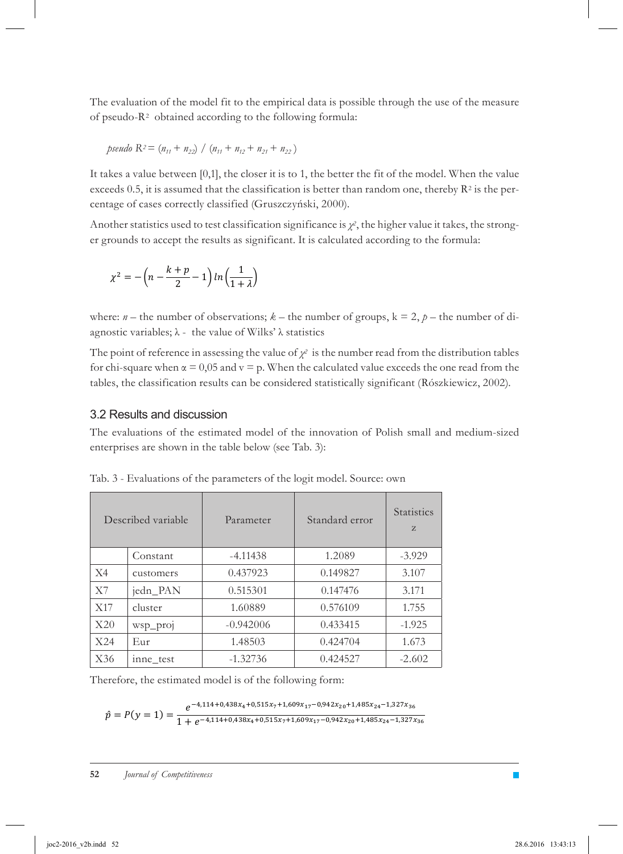The evaluation of the model fit to the empirical data is possible through the use of the measure of pseudo-R2 obtained according to the following formula:

$$
pseudo R2 = (n11 + n22) / (n11 + n12 + n21 + n22)
$$

It takes a value between [0,1], the closer it is to 1, the better the fit of the model. When the value exceeds 0.5, it is assumed that the classification is better than random one, thereby  $\mathbb{R}^2$  is the percentage of cases correctly classified (Gruszczyński, 2000).

Another statistics used to test classification significance is *χ2*, the higher value it takes, the stronger grounds to accept the results as significant. It is calculated according to the formula:

$$
\chi^2 = -\left(n - \frac{k+p}{2} - 1\right) \ln\left(\frac{1}{1+\lambda}\right)
$$

where:  $n$  – the number of observations;  $k$  – the number of groups,  $k = 2$ ,  $p$  – the number of diagnostic variables;  $\lambda$  - the value of Wilks'  $\lambda$  statistics

The point of reference in assessing the value of  $\chi^2$  is the number read from the distribution tables for chi-square when  $\alpha = 0.05$  and  $v = p$ . When the calculated value exceeds the one read from the tables, the classification results can be considered statistically significant (Rószkiewicz, 2002).

#### 3.2 Results and discussion

The evaluations of the estimated model of the innovation of Polish small and medium-sized enterprises are shown in the table below (see Tab. 3):

|     | Described variable | Parameter   | Standard error | <b>Statistics</b><br>Z |
|-----|--------------------|-------------|----------------|------------------------|
|     | Constant           | $-4.11438$  | 1.2089         | $-3.929$               |
| X4  | customers          | 0.437923    | 0.149827       | 3.107                  |
| X7  | jedn PAN           | 0.515301    | 0.147476       | 3.171                  |
| X17 | cluster            | 1.60889     | 0.576109       | 1.755                  |
| X20 | wsp_proj           | $-0.942006$ | 0.433415       | $-1.925$               |
| X24 | Eur                | 1.48503     | 0.424704       | 1.673                  |
| X36 | inne test          | $-1.32736$  | 0.424527       | $-2.602$               |

Tab. 3 - Evaluations of the parameters of the logit model. Source: own

Therefore, the estimated model is of the following form:

$$
\hat{p} = P(y = 1) = \frac{e^{-4,114 + 0,438x_4 + 0,515x_7 + 1,609x_{17} - 0,942x_{20} + 1,485x_{24} - 1,327x_{36}}}{1 + e^{-4,114 + 0,438x_4 + 0,515x_7 + 1,609x_{17} - 0,942x_{20} + 1,485x_{24} - 1,327x_{36}}}
$$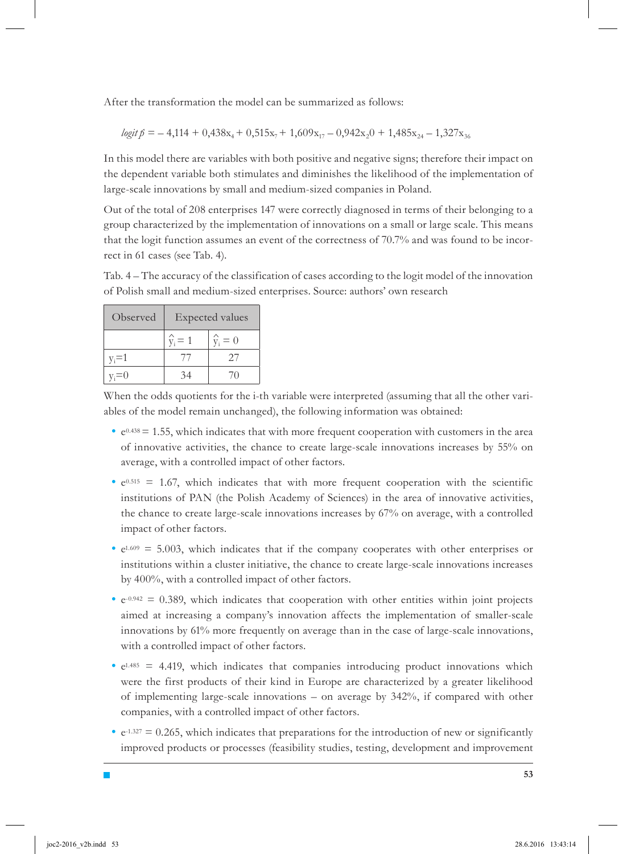After the transformation the model can be summarized as follows:

$$
logit\ \hat{p} = -4,114+0,438x_4+0,515x_7+1,609x_{17}-0,942x_20+1,485x_{24}-1,327x_{36}
$$

In this model there are variables with both positive and negative signs; therefore their impact on the dependent variable both stimulates and diminishes the likelihood of the implementation of large-scale innovations by small and medium-sized companies in Poland.

Out of the total of 208 enterprises 147 were correctly diagnosed in terms of their belonging to a group characterized by the implementation of innovations on a small or large scale. This means that the logit function assumes an event of the correctness of 70.7% and was found to be incorrect in 61 cases (see Tab. 4).

Tab. 4 – The accuracy of the classification of cases according to the logit model of the innovation of Polish small and medium-sized enterprises. Source: authors' own research

| Observed | Expected values |                 |  |
|----------|-----------------|-----------------|--|
|          | $\hat{v}_i = 1$ | $\hat{y}_i = 0$ |  |
| $v = 1$  |                 | 27              |  |
|          |                 |                 |  |

 $\blacksquare$ 

When the odds quotients for the i-th variable were interpreted (assuming that all the other variables of the model remain unchanged), the following information was obtained:

- $\cdot$  e<sup>0.438</sup> = 1.55, which indicates that with more frequent cooperation with customers in the area of innovative activities, the chance to create large-scale innovations increases by 55% on average, with a controlled impact of other factors.
- $e^{0.515}$  = 1.67, which indicates that with more frequent cooperation with the scientific institutions of PAN (the Polish Academy of Sciences) in the area of innovative activities, the chance to create large-scale innovations increases by 67% on average, with a controlled impact of other factors.
- $\cdot$  e<sup>1.609</sup> = 5.003, which indicates that if the company cooperates with other enterprises or institutions within a cluster initiative, the chance to create large-scale innovations increases by 400%, with a controlled impact of other factors.
- $\cdot$  e<sup>-0.942</sup> = 0.389, which indicates that cooperation with other entities within joint projects aimed at increasing a company's innovation affects the implementation of smaller-scale innovations by 61% more frequently on average than in the case of large-scale innovations, with a controlled impact of other factors.
- $e^{1.485}$  = 4.419, which indicates that companies introducing product innovations which were the first products of their kind in Europe are characterized by a greater likelihood of implementing large-scale innovations – on average by 342%, if compared with other companies, with a controlled impact of other factors.
- $\cdot$  e<sup>-1.327</sup> = 0.265, which indicates that preparations for the introduction of new or significantly improved products or processes (feasibility studies, testing, development and improvement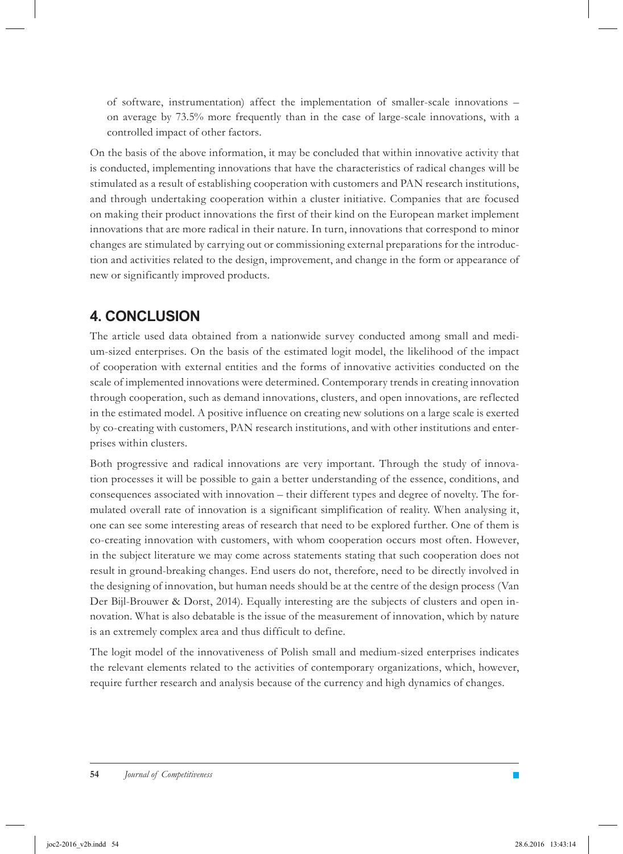of software, instrumentation) affect the implementation of smaller-scale innovations – on average by 73.5% more frequently than in the case of large-scale innovations, with a controlled impact of other factors.

On the basis of the above information, it may be concluded that within innovative activity that is conducted, implementing innovations that have the characteristics of radical changes will be stimulated as a result of establishing cooperation with customers and PAN research institutions, and through undertaking cooperation within a cluster initiative. Companies that are focused on making their product innovations the first of their kind on the European market implement innovations that are more radical in their nature. In turn, innovations that correspond to minor changes are stimulated by carrying out or commissioning external preparations for the introduction and activities related to the design, improvement, and change in the form or appearance of new or significantly improved products.

# **4. CONCLUSION**

The article used data obtained from a nationwide survey conducted among small and medium-sized enterprises. On the basis of the estimated logit model, the likelihood of the impact of cooperation with external entities and the forms of innovative activities conducted on the scale of implemented innovations were determined. Contemporary trends in creating innovation through cooperation, such as demand innovations, clusters, and open innovations, are reflected in the estimated model. A positive influence on creating new solutions on a large scale is exerted by co-creating with customers, PAN research institutions, and with other institutions and enterprises within clusters.

Both progressive and radical innovations are very important. Through the study of innovation processes it will be possible to gain a better understanding of the essence, conditions, and consequences associated with innovation – their different types and degree of novelty. The formulated overall rate of innovation is a significant simplification of reality. When analysing it, one can see some interesting areas of research that need to be explored further. One of them is co-creating innovation with customers, with whom cooperation occurs most often. However, in the subject literature we may come across statements stating that such cooperation does not result in ground-breaking changes. End users do not, therefore, need to be directly involved in the designing of innovation, but human needs should be at the centre of the design process (Van Der Bijl-Brouwer & Dorst, 2014). Equally interesting are the subjects of clusters and open innovation. What is also debatable is the issue of the measurement of innovation, which by nature is an extremely complex area and thus difficult to define.

The logit model of the innovativeness of Polish small and medium-sized enterprises indicates the relevant elements related to the activities of contemporary organizations, which, however, require further research and analysis because of the currency and high dynamics of changes.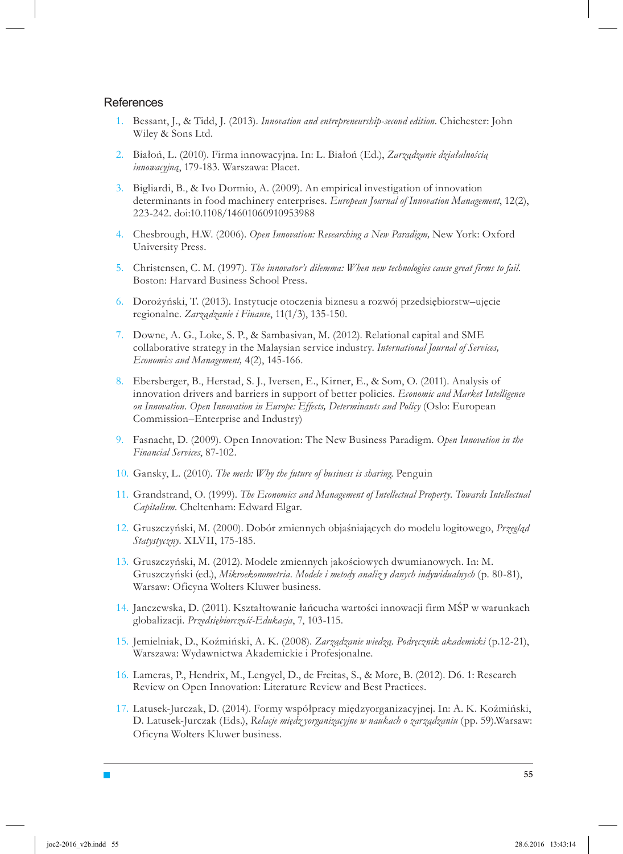#### **References**

 $\blacksquare$ 

- Bessant, J., & Tidd, J. (2013). *Innovation and entrepreneurship-second edition*. Chichester: John 1. Wiley & Sons Ltd.
- Białoń, L. (2010). Firma innowacyjna. In: L. Białoń (Ed.), *Zarządzanie działalnością*  2. *innowacyjną*, 179-183. Warszawa: Placet.
- Bigliardi, B., & Ivo Dormio, A. (2009). An empirical investigation of innovation 3. determinants in food machinery enterprises. *European Journal of Innovation Management*, 12(2), 223-242. doi:10.1108/14601060910953988
- Chesbrough, H.W. (2006). *Open Innovation: Researching a New Paradigm,* New York: Oxford 4. University Press.
- Christensen, C. M. (1997). *The innovator's dilemma: When new technologies cause great firms to fail.* 5. Boston: Harvard Business School Press.
- Dorożyński, T. (2013). Instytucje otoczenia biznesu a rozwój przedsiębiorstw–ujęcie 6. regionalne. *Zarządzanie i Finanse*, 11(1/3), 135-150.
- Downe, A. G., Loke, S. P., & Sambasivan, M. (2012). Relational capital and SME 7. collaborative strategy in the Malaysian service industry. *International Journal of Services, Economics and Management,* 4(2), 145-166.
- Ebersberger, B., Herstad, S. J., Iversen, E., Kirner, E., & Som, O. (2011). Analysis of 8. innovation drivers and barriers in support of better policies. *Economic and Market Intelligence on Innovation. Open Innovation in Europe: Effects, Determinants and Policy* (Oslo: European Commission–Enterprise and Industry)
- Fasnacht, D. (2009). Open Innovation: The New Business Paradigm. *Open Innovation in the*  9. *Financial Services*, 87-102.
- Gansky, L. (2010). *The mesh: Why the future of business is sharing*. Penguin 10.
- 11. Grandstrand, O. (1999). The Economics and Management of Intellectual Property. Towards Intellectual *Capitalism.* Cheltenham: Edward Elgar.
- Gruszczyński, M. (2000). Dobór zmiennych objaśniających do modelu logitowego, *Przegląd*  12. *Statystyczny.* XLVII, 175-185.
- 13. Gruszczyński, M. (2012). Modele zmiennych jakościowych dwumianowych. In: M. Gruszczyński (ed.), *Mikroekonometria. Modele i metody analiz y danych indywidualnych* (p. 80-81), Warsaw: Oficyna Wolters Kluwer business.
- Janczewska, D. (2011). Kształtowanie łańcucha wartości innowacji firm MŚP w warunkach 14. globalizacji. *Przedsiębiorczość-Edukacja*, 7, 103-115.
- Jemielniak, D., Koźmiński, A. K. (2008). *Zarządzanie wiedzą. Podręcznik akademicki* (p.12-21), 15. Warszawa: Wydawnictwa Akademickie i Profesjonalne.
- Lameras, P., Hendrix, M., Lengyel, D., de Freitas, S., & More, B. (2012). D6. 1: Research 16. Review on Open Innovation: Literature Review and Best Practices.
- 17. Latusek-Jurczak, D. (2014). Formy współpracy międzyorganizacyjnej. In: A. K. Koźmiński, D. Latusek-Jurczak (Eds.), *Relacje międz yorganizacyjne w naukach o zarządzaniu* (pp. 59).Warsaw: Oficyna Wolters Kluwer business.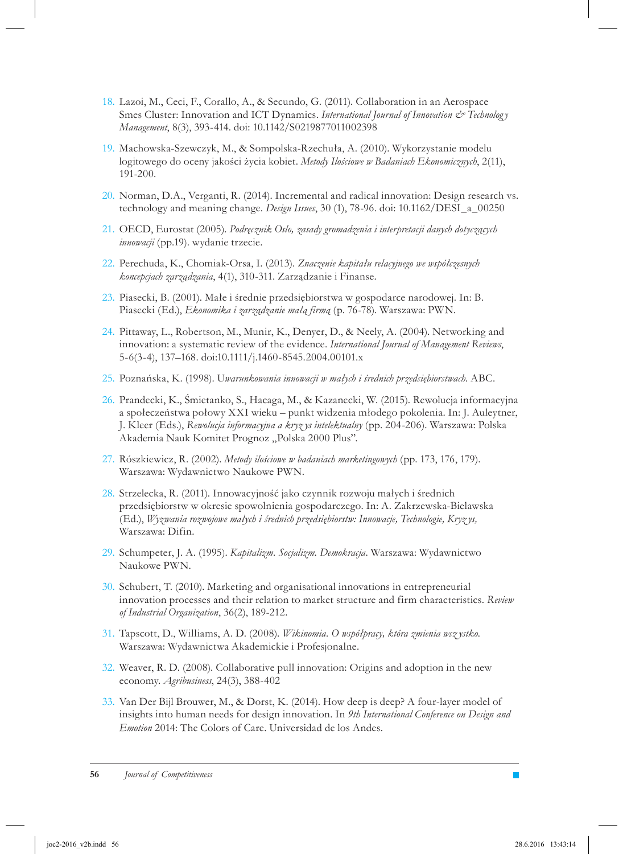- 18. Lazoi, M., Ceci, F., Corallo, A., & Secundo, G. (2011). Collaboration in an Aerospace Smes Cluster: Innovation and ICT Dynamics. *International Journal of Innovation & Technolog y Management*, 8(3), 393-414. doi: 10.1142/S0219877011002398
- 19. Machowska-Szewczyk, M., & Sompolska-Rzechuła, A. (2010). Wykorzystanie modelu logitowego do oceny jakości życia kobiet. *Metody Ilościowe w Badaniach Ekonomicznych*, 2(11), 191-200.
- 20. Norman, D.A., Verganti, R. (2014). Incremental and radical innovation: Design research vs. technology and meaning change. *Design Issues*, 30 (1), 78-96. doi: 10.1162/DESI\_a\_00250
- OECD, Eurostat (2005). *Podręcznik Oslo, zasady gromadzenia i interpretacji danych dotyczących*  21. *innowacji* (pp.19). wydanie trzecie.
- Perechuda, K., Chomiak-Orsa, I. (2013). *Znaczenie kapitału relacyjnego we współczesnych*  22. *koncepcjach zarządzania*, 4(1), 310-311. Zarządzanie i Finanse.
- 23. Piasecki, B. (2001). Male i średnie przedsiębiorstwa w gospodarce narodowej. In: B. Piasecki (Ed.), *Ekonomika i zarządzanie małą firmą* (p. 76-78). Warszawa: PWN.
- 24. Pittaway, L., Robertson, M., Munir, K., Denyer, D., & Neely, A. (2004). Networking and innovation: a systematic review of the evidence. *International Journal of Management Reviews*, 5-6(3-4), 137–168. doi:10.1111/j.1460-8545.2004.00101.x
- 25. Poznańska, K. (1998). Uwarunkowania innowacji w małych i średnich przedsiębiorstwach. ABC.
- 26. Prandecki, K., Śmietanko, S., Hacaga, M., & Kazanecki, W. (2015). Rewolucja informacyjna a społeczeństwa połowy XXI wieku – punkt widzenia młodego pokolenia. In: J. Auleytner, J. Kleer (Eds.), *Rewolucja informacyjna a kryz ys intelektualny* (pp. 204-206). Warszawa: Polska Akademia Nauk Komitet Prognoz "Polska 2000 Plus".
- Rószkiewicz, R. (2002). *Metody ilościowe w badaniach marketingowych* (pp. 173, 176, 179). 27. Warszawa: Wydawnictwo Naukowe PWN.
- 28. Strzelecka, R. (2011). Innowacyjność jako czynnik rozwoju małych i średnich przedsiębiorstw w okresie spowolnienia gospodarczego. In: A. Zakrzewska-Bielawska (Ed.), *Wyzwania rozwojowe małych i średnich przedsiębiorstw: Innowacje, Technologie, Kryz ys,* Warszawa: Difin.
- 29. Schumpeter, J. A. (1995). *Kapitalizm. Socjalizm. Demokracja*. Warszawa: Wydawnictwo Naukowe PWN.
- 30. Schubert, T. (2010). Marketing and organisational innovations in entrepreneurial innovation processes and their relation to market structure and firm characteristics. *Review of Industrial Organization*, 36(2), 189-212.
- Tapscott, D., Williams, A. D. (2008). *Wikinomia. O współpracy, która zmienia wsz ystko.* 31. Warszawa: Wydawnictwa Akademickie i Profesjonalne.
- 32. Weaver, R. D. (2008). Collaborative pull innovation: Origins and adoption in the new economy. *Agribusiness*, 24(3), 388-402
- 33. Van Der Bijl Brouwer, M., & Dorst, K. (2014). How deep is deep? A four-layer model of insights into human needs for design innovation. In *9th International Conference on Design and Emotion* 2014: The Colors of Care. Universidad de los Andes.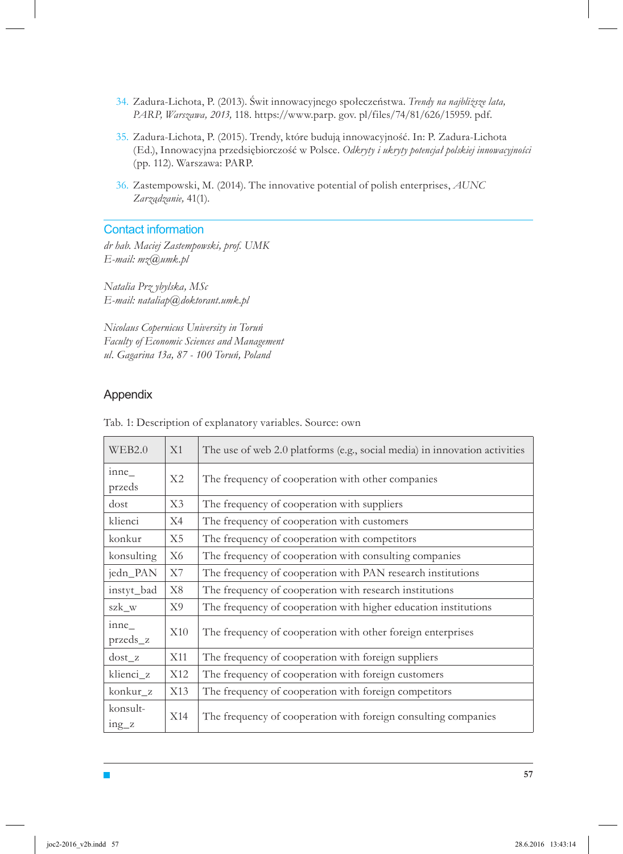- Zadura-Lichota, P. (2013). Świt innowacyjnego społeczeństwa. *Trendy na najbliższe lata,*  34. *PARP, Warszawa, 2013,* 118. https://www.parp. gov. pl/files/74/81/626/15959. pdf.
- 35. Zadura-Lichota, P. (2015). Trendy, które budują innowacyjność. In: P. Zadura-Lichota (Ed.), Innowacyjna przedsiębiorczość w Polsce. *Odkryty i ukryty potencjał polskiej innowacyjności* (pp. 112). Warszawa: PARP.
- Zastempowski, M. (2014). The innovative potential of polish enterprises, *AUNC*  36. *Zarządzanie,* 41(1).

#### Contact information

*dr hab. Maciej Zastempowski, prof. UMK E-mail: mz@umk.pl*

*Natalia Prz ybylska, MSc E-mail: nataliap@doktorant.umk.pl*

*Nicolaus Copernicus University in Toruń Faculty of Economic Sciences and Management ul. Gagarina 13a, 87 - 100 Toruń, Poland*

### Appendix

 $\blacksquare$ 

| WEB2.0                  | X1                                                            | The use of web 2.0 platforms (e.g., social media) in innovation activities |  |
|-------------------------|---------------------------------------------------------------|----------------------------------------------------------------------------|--|
| inne<br>przeds          | X2                                                            | The frequency of cooperation with other companies                          |  |
| dost                    | X3                                                            | The frequency of cooperation with suppliers                                |  |
| klienci                 | X4                                                            | The frequency of cooperation with customers                                |  |
| konkur                  | X5                                                            | The frequency of cooperation with competitors                              |  |
| konsulting              | X6                                                            | The frequency of cooperation with consulting companies                     |  |
| jedn_PAN                | X7                                                            | The frequency of cooperation with PAN research institutions                |  |
| instyt_bad              | X8<br>The frequency of cooperation with research institutions |                                                                            |  |
| szk w                   | X9                                                            | The frequency of cooperation with higher education institutions            |  |
| inne<br>X10<br>przeds_z |                                                               | The frequency of cooperation with other foreign enterprises                |  |
| $dost$ z                | X11                                                           | The frequency of cooperation with foreign suppliers                        |  |
| klienci z               | X12                                                           | The frequency of cooperation with foreign customers                        |  |
| konkur z                | X13                                                           | The frequency of cooperation with foreign competitors                      |  |
| konsult-<br>$ing_z$     | X14                                                           | The frequency of cooperation with foreign consulting companies             |  |

Tab. 1: Description of explanatory variables. Source: own